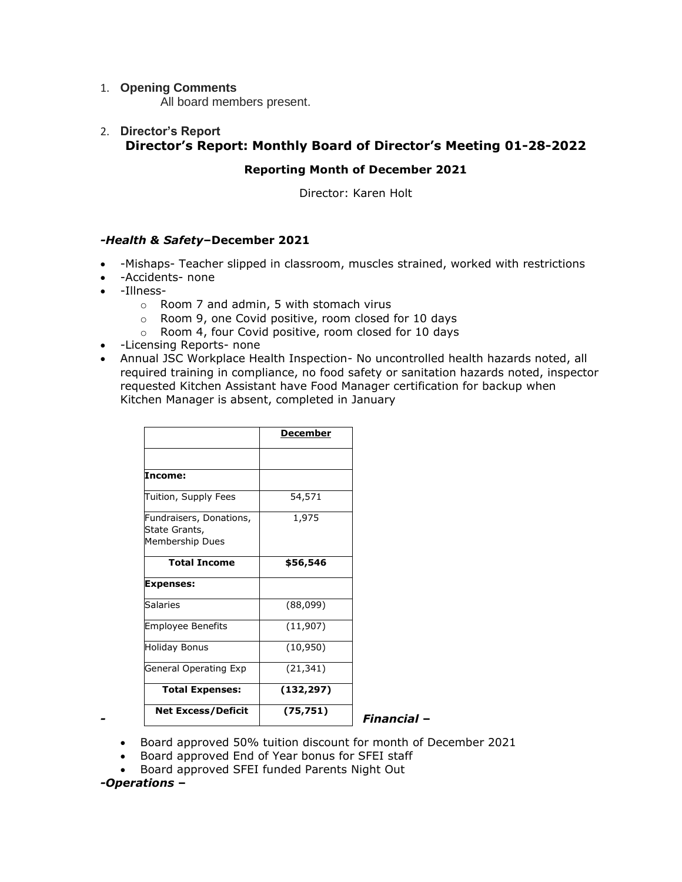# 1. **Opening Comments**

All board members present.

# 2. **Director's Report Director's Report: Monthly Board of Director's Meeting 01-28-2022**

# **Reporting Month of December 2021**

Director: Karen Holt

#### *-Health & Safety***–December 2021**

- -Mishaps- Teacher slipped in classroom, muscles strained, worked with restrictions
- -Accidents- none
- -Illness
	- o Room 7 and admin, 5 with stomach virus
	- o Room 9, one Covid positive, room closed for 10 days
	- o Room 4, four Covid positive, room closed for 10 days
- -Licensing Reports- none
- Annual JSC Workplace Health Inspection- No uncontrolled health hazards noted, all required training in compliance, no food safety or sanitation hazards noted, inspector requested Kitchen Assistant have Food Manager certification for backup when Kitchen Manager is absent, completed in January

|                                                             | <b>December</b> |
|-------------------------------------------------------------|-----------------|
|                                                             |                 |
| Income:                                                     |                 |
| Tuition, Supply Fees                                        | 54,571          |
| Fundraisers, Donations,<br>State Grants,<br>Membership Dues | 1,975           |
| <b>Total Income</b>                                         | \$56,546        |
| <b>Expenses:</b>                                            |                 |
| <b>Salaries</b>                                             | (88,099)        |
| <b>Employee Benefits</b>                                    | (11, 907)       |
| Holiday Bonus                                               | (10, 950)       |
| General Operating Exp                                       | (21, 341)       |
| <b>Total Expenses:</b>                                      | (132, 297)      |
| <b>Net Excess/Deficit</b>                                   | (75, 751)       |

- Board approved 50% tuition discount for month of December 2021
- Board approved End of Year bonus for SFEI staff
- Board approved SFEI funded Parents Night Out

*-Operations* **–**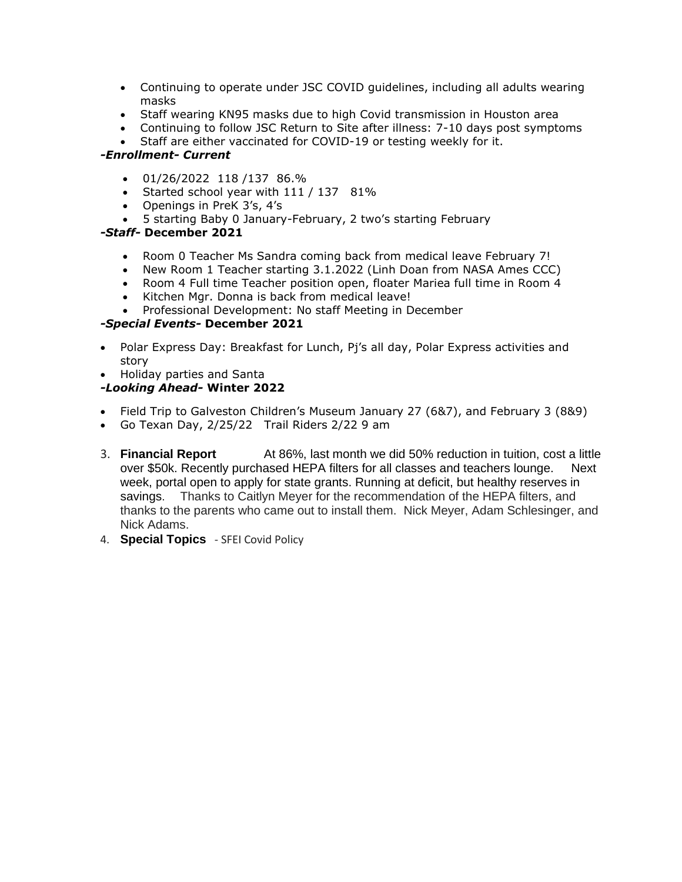- Continuing to operate under JSC COVID guidelines, including all adults wearing masks
- Staff wearing KN95 masks due to high Covid transmission in Houston area
- Continuing to follow JSC Return to Site after illness: 7-10 days post symptoms
- Staff are either vaccinated for COVID-19 or testing weekly for it.

## *-Enrollment- Current*

- 01/26/2022 118 /137 86.%
- Started school year with 111 / 137 81%
- Openings in PreK 3's, 4's
- 5 starting Baby 0 January-February, 2 two's starting February

# *-Staff-* **December 2021**

- Room 0 Teacher Ms Sandra coming back from medical leave February 7!
- New Room 1 Teacher starting 3.1.2022 (Linh Doan from NASA Ames CCC)
- Room 4 Full time Teacher position open, floater Mariea full time in Room 4
- Kitchen Mgr. Donna is back from medical leave!
- Professional Development: No staff Meeting in December

# *-Special Events-* **December 2021**

- Polar Express Day: Breakfast for Lunch, Pj's all day, Polar Express activities and story
- Holiday parties and Santa

# *-Looking Ahead-* **Winter 2022**

- Field Trip to Galveston Children's Museum January 27 (6&7), and February 3 (8&9)
- Go Texan Day, 2/25/22 Trail Riders 2/22 9 am
- 3. **Financial Report** At 86%, last month we did 50% reduction in tuition, cost a little over \$50k. Recently purchased HEPA filters for all classes and teachers lounge. Next week, portal open to apply for state grants. Running at deficit, but healthy reserves in savings. Thanks to Caitlyn Meyer for the recommendation of the HEPA filters, and thanks to the parents who came out to install them. Nick Meyer, Adam Schlesinger, and Nick Adams.
- 4. **Special Topics** SFEI Covid Policy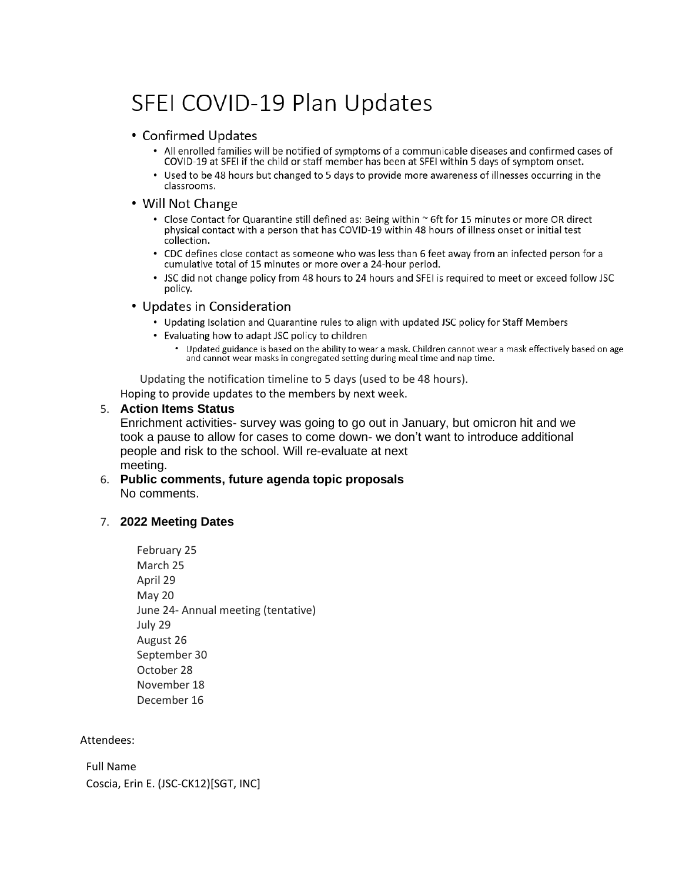# SFEI COVID-19 Plan Updates

# • Confirmed Updates

- All enrolled families will be notified of symptoms of a communicable diseases and confirmed cases of COVID-19 at SFEI if the child or staff member has been at SFEI within 5 days of symptom onset.
- Used to be 48 hours but changed to 5 days to provide more awareness of illnesses occurring in the classrooms.

#### • Will Not Change

- Close Contact for Quarantine still defined as: Being within  $\sim$  6ft for 15 minutes or more OR direct physical contact with a person that has COVID-19 within 48 hours of illness onset or initial test collection.
- CDC defines close contact as someone who was less than 6 feet away from an infected person for a cumulative total of 15 minutes or more over a 24-hour period.
- JSC did not change policy from 48 hours to 24 hours and SFEI is required to meet or exceed follow JSC policy.
- Updates in Consideration
	- Updating Isolation and Quarantine rules to align with updated JSC policy for Staff Members
	- Evaluating how to adapt JSC policy to children
		- Updated guidance is based on the ability to wear a mask. Children cannot wear a mask effectively based on age and cannot wear masks in congregated setting during meal time and nap time.

Updating the notification timeline to 5 days (used to be 48 hours).

Hoping to provide updates to the members by next week.

#### 5. **Action Items Status**

Enrichment activities- survey was going to go out in January, but omicron hit and we took a pause to allow for cases to come down- we don't want to introduce additional people and risk to the school. Will re-evaluate at next meeting.

6. **Public comments, future agenda topic proposals** No comments.

## 7. **2022 Meeting Dates**

February 25 March 25 April 29 May 20 June 24- Annual meeting (tentative) July 29 August 26 September 30 October 28 November 18 December 16

#### Attendees:

Full Name Coscia, Erin E. (JSC-CK12)[SGT, INC]